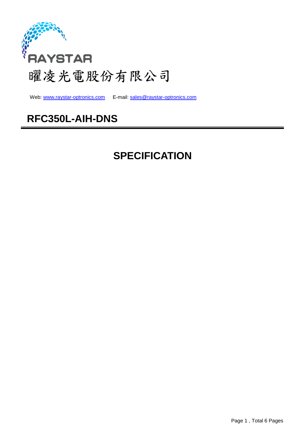

Web: www.raystar-optronics.com E-mail: sales@raystar-optronics.com

# **RFC350L-AIH-DNS**

# **SPECIFICATION**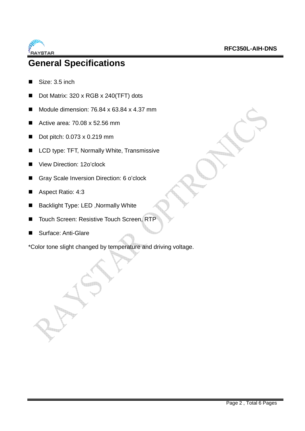

## **General Specifications**

- Size: 3.5 inch
- Dot Matrix: 320 x RGB x 240(TFT) dots
- Module dimension:  $76.84 \times 63.84 \times 4.37$  mm
- Active area:  $70.08 \times 52.56 \text{ mm}$
- Dot pitch: 0.073 x 0.219 mm
- LCD type: TFT, Normally White, Transmissive
- View Direction: 12o'clock
- Gray Scale Inversion Direction: 6 o'clock
- Aspect Ratio: 4:3
- Backlight Type: LED, Normally White
- Touch Screen: Resistive Touch Screen, RTP
- Surface: Anti-Glare

\*Color tone slight changed by temperature and driving voltage.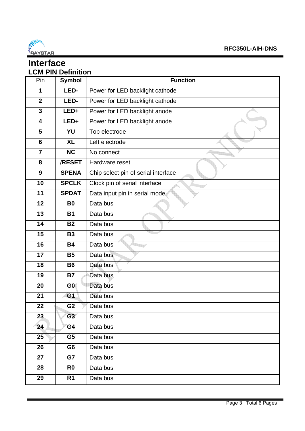

#### **Interface LCM PIN Definition**

| Pin                     | <b>Symbol</b>  | <b>Function</b>                     |  |  |  |
|-------------------------|----------------|-------------------------------------|--|--|--|
| 1                       | LED-           | Power for LED backlight cathode     |  |  |  |
| $\overline{\mathbf{2}}$ | LED-           | Power for LED backlight cathode     |  |  |  |
| $\mathbf{3}$            | LED+           | Power for LED backlight anode       |  |  |  |
| $\overline{\mathbf{4}}$ | LED+           | Power for LED backlight anode       |  |  |  |
| 5                       | YU             | Top electrode                       |  |  |  |
| $6\phantom{1}$          | <b>XL</b>      | Left electrode                      |  |  |  |
| $\overline{7}$          | <b>NC</b>      | No connect                          |  |  |  |
| 8                       | <b>/RESET</b>  | Hardware reset                      |  |  |  |
| $\boldsymbol{9}$        | <b>SPENA</b>   | Chip select pin of serial interface |  |  |  |
| 10                      | <b>SPCLK</b>   | Clock pin of serial interface       |  |  |  |
| 11                      | <b>SPDAT</b>   | Data input pin in serial mode       |  |  |  |
| 12                      | <b>B0</b>      | Data bus                            |  |  |  |
| 13                      | <b>B1</b>      | Data bus                            |  |  |  |
| $\overline{14}$         | <b>B2</b>      | Data bus                            |  |  |  |
| 15                      | <b>B3</b>      | Data bus                            |  |  |  |
| 16                      | <b>B4</b>      | Data bus                            |  |  |  |
| 17                      | <b>B5</b>      | Data bus                            |  |  |  |
| 18                      | <b>B6</b>      | Data bus                            |  |  |  |
| 19                      | <b>B7</b>      | Data bus                            |  |  |  |
| 20                      | G0             | Data bus                            |  |  |  |
| 21                      | G <sub>1</sub> | Data bus                            |  |  |  |
| 22                      | G <sub>2</sub> | Data bus                            |  |  |  |
| 23                      | G3             | Data bus                            |  |  |  |
| 24                      | G4             | Data bus                            |  |  |  |
| 25                      | G <sub>5</sub> | Data bus                            |  |  |  |
| 26                      | G <sub>6</sub> | Data bus                            |  |  |  |
| 27                      | G7             | Data bus                            |  |  |  |
| 28                      | R <sub>0</sub> | Data bus                            |  |  |  |
| 29                      | R <sub>1</sub> | Data bus                            |  |  |  |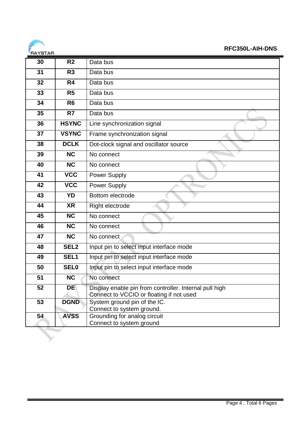

| na 1 w 1 an |                         |                                                                          |
|-------------|-------------------------|--------------------------------------------------------------------------|
| 30          | R <sub>2</sub>          | Data bus                                                                 |
| 31          | R <sub>3</sub>          | Data bus                                                                 |
| 32          | R4                      | Data bus                                                                 |
| 33          | R <sub>5</sub>          | Data bus                                                                 |
| 34          | R <sub>6</sub>          | Data bus                                                                 |
| 35          | R7                      | Data bus                                                                 |
| 36          | <b>HSYNC</b>            | Line synchronization signal                                              |
| 37          | <b>VSYNC</b>            | Frame synchronization signal                                             |
| 38          | <b>DCLK</b>             | Dot-clock signal and oscillator source                                   |
| 39          | <b>NC</b>               | No connect                                                               |
| 40          | <b>NC</b>               | No connect                                                               |
| 41          | $\overline{\text{VCC}}$ | Power Supply                                                             |
| 42          | <b>VCC</b>              | Power Supply                                                             |
| 43          | <b>YD</b>               | Bottom electrode                                                         |
| 44          | <b>XR</b>               | Right electrode                                                          |
| 45          | <b>NC</b>               | No connect                                                               |
| 46          | <b>NC</b>               | No connect                                                               |
| 47          | <b>NC</b>               | No connect                                                               |
| 48          | SEL <sub>2</sub>        | Input pin to select input interface mode                                 |
| 49          | SEL <sub>1</sub>        | Input pin to select input interface mode                                 |
| 50          | <b>SEL0</b>             | Input pin to select input interface mode                                 |
| 51          | <b>NC</b>               | No connect                                                               |
| 52          | <b>DE</b>               | Display enable pin from controller. Internal pull high                   |
| 53          | <b>DGND</b>             | Connect to VCCIO or floating if not used<br>System ground pin of the IC. |
|             |                         | Connect to system ground.                                                |
| 54          | <b>AVSS</b>             | Grounding for analog circuit                                             |
|             |                         | Connect to system ground                                                 |
|             |                         |                                                                          |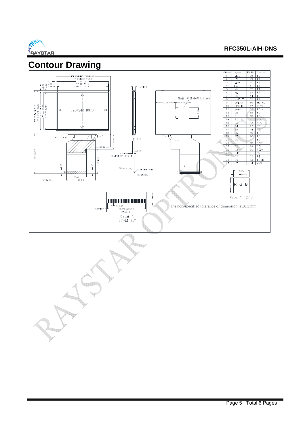

### **Contour Drawing**